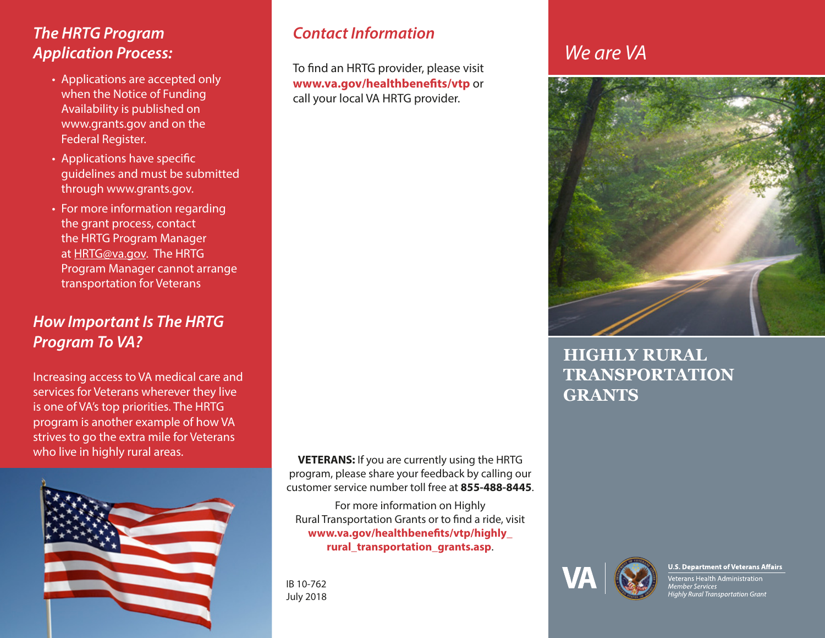### *The HRTG Program Application Process:*

- Applications are accepted only when the Notice of Funding Availability is published on www.grants.gov and on the Federal Register.
- Applications have specific guidelines and must be submitted through www.grants.gov.
- For more information regarding the grant process, contact the HRTG Program Manager at [HRTG@va.gov](mailto:HRTG%40va.gov?subject=HRTG%20Grant%20process). The HRTG Program Manager cannot arrange transportation for Veterans

### *How Important Is The HRTG Program To VA?*

Increasing access to VA medical care and services for Veterans wherever they live is one of VA's top priorities. The HRTG program is another example of how VA strives to go the extra mile for Veterans who live in highly rural areas.



#### *Contact Information*

To find an HRTG provider, please visit **www.va.gov/healthbenefits/vtp** or call your local VA HRTG provider.

**VETERANS:** If you are currently using the HRTG program, please share your feedback by calling our customer service number toll free at **855-488-8445**.

For more information on Highly Rural Transportation Grants or to find a ride, visit **www.va.gov/healthbenefits/vtp/highly\_ rural\_transportation\_grants.asp**.

IB 10-762 July 2018

# *We are VA*



**HIGHLY RURAL TRANSPORTATION GRANTS**



#### **U.S. Department of Veterans Affairs**

/eterans Health Administration nember Services<br>Highly Rural Transportation Grant